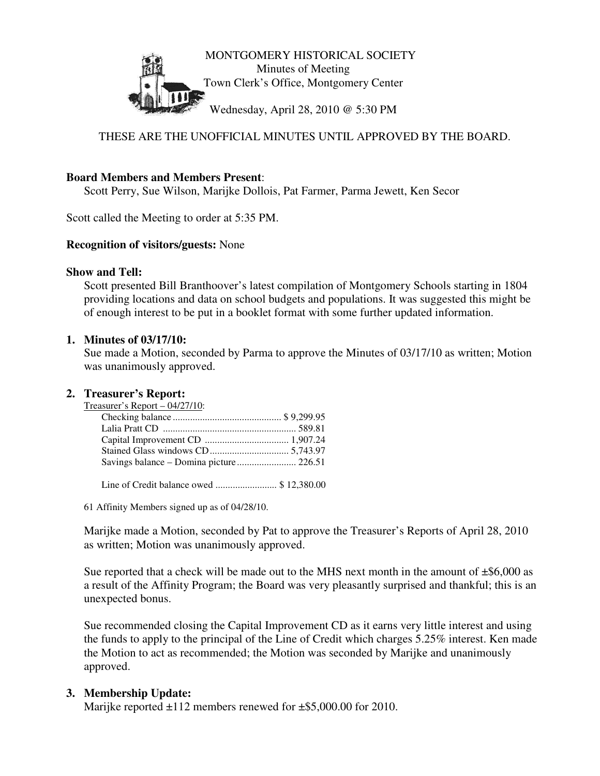

# THESE ARE THE UNOFFICIAL MINUTES UNTIL APPROVED BY THE BOARD.

#### **Board Members and Members Present**:

Scott Perry, Sue Wilson, Marijke Dollois, Pat Farmer, Parma Jewett, Ken Secor

Scott called the Meeting to order at 5:35 PM.

#### **Recognition of visitors/guests:** None

#### **Show and Tell:**

Scott presented Bill Branthoover's latest compilation of Montgomery Schools starting in 1804 providing locations and data on school budgets and populations. It was suggested this might be of enough interest to be put in a booklet format with some further updated information.

#### **1. Minutes of 03/17/10:**

Sue made a Motion, seconded by Parma to approve the Minutes of 03/17/10 as written; Motion was unanimously approved.

#### **2. Treasurer's Report:**

Treasurer's Report – 04/27/10: Checking balance ............................................ \$ 9,299.95 Lalia Pratt CD ...................................................... 589.81 Capital Improvement CD .................................. 1,907.24 Stained Glass windows CD................................ 5,743.97 Savings balance – Domina picture ........................ 226.51

Line of Credit balance owed ......................... \$ 12,380.00

61 Affinity Members signed up as of 04/28/10.

Marijke made a Motion, seconded by Pat to approve the Treasurer's Reports of April 28, 2010 as written; Motion was unanimously approved.

Sue reported that a check will be made out to the MHS next month in the amount of  $\pm$ \$6,000 as a result of the Affinity Program; the Board was very pleasantly surprised and thankful; this is an unexpected bonus.

Sue recommended closing the Capital Improvement CD as it earns very little interest and using the funds to apply to the principal of the Line of Credit which charges 5.25% interest. Ken made the Motion to act as recommended; the Motion was seconded by Marijke and unanimously approved.

### **3. Membership Update:**

Marijke reported  $\pm 112$  members renewed for  $\pm$ \$5,000.00 for 2010.